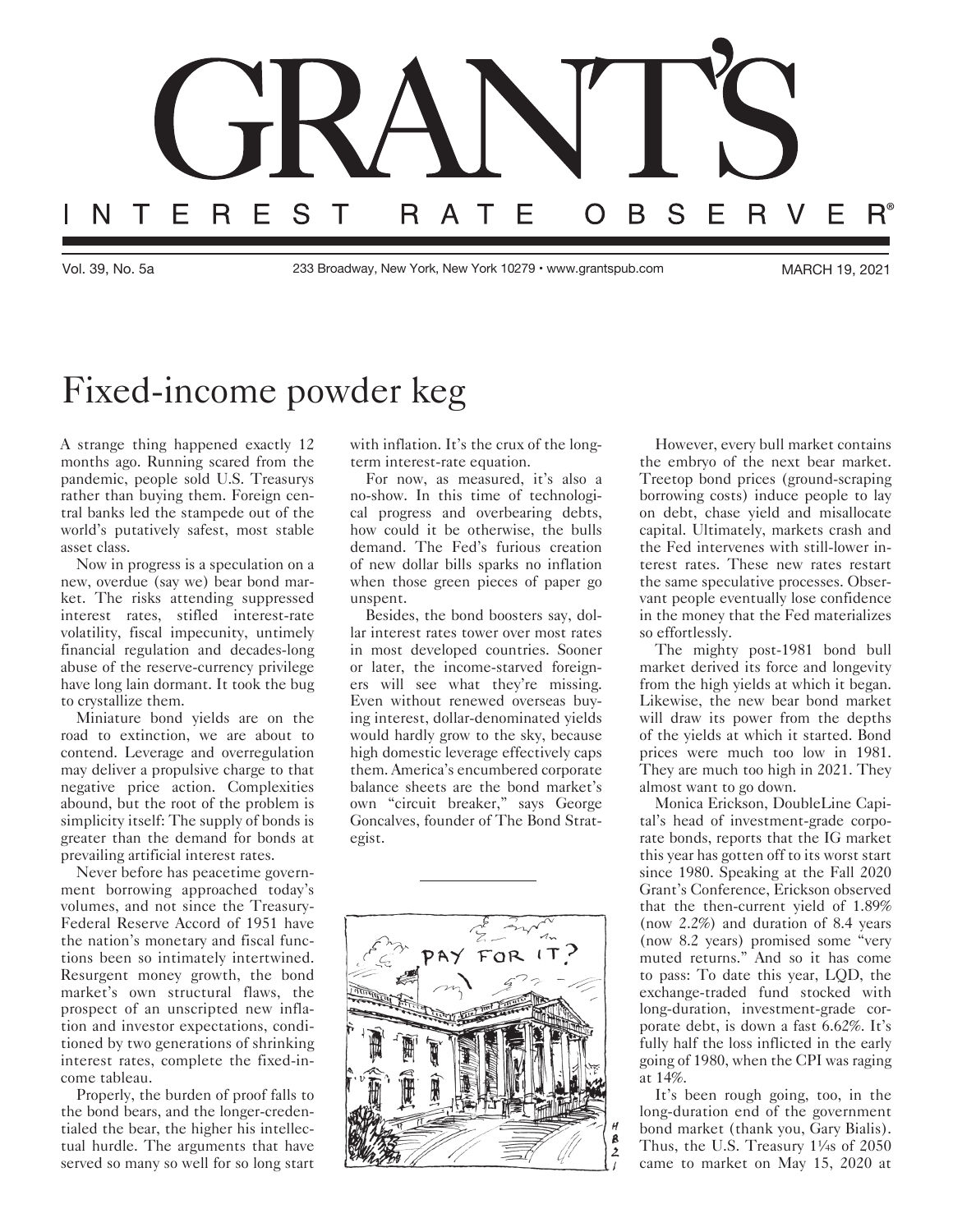

Vol. 39, No. 5a 233 Broadway, New York, New York 10279 • www.grantspub.com MARCH 19, 2021

## Fixed-income powder keg

A strange thing happened exactly 12 months ago. Running scared from the pandemic, people sold U.S. Treasurys rather than buying them. Foreign central banks led the stampede out of the world's putatively safest, most stable asset class.

Now in progress is a speculation on a new, overdue (say we) bear bond market. The risks attending suppressed interest rates, stifled interest-rate volatility, fiscal impecunity, untimely financial regulation and decades-long abuse of the reserve-currency privilege have long lain dormant. It took the bug to crystallize them.

Miniature bond yields are on the road to extinction, we are about to contend. Leverage and overregulation may deliver a propulsive charge to that negative price action. Complexities abound, but the root of the problem is simplicity itself: The supply of bonds is greater than the demand for bonds at prevailing artificial interest rates.

Never before has peacetime government borrowing approached today's volumes, and not since the Treasury-Federal Reserve Accord of 1951 have the nation's monetary and fiscal functions been so intimately intertwined. Resurgent money growth, the bond market's own structural flaws, the prospect of an unscripted new inflation and investor expectations, conditioned by two generations of shrinking interest rates, complete the fixed-income tableau.

Properly, the burden of proof falls to the bond bears, and the longer-credentialed the bear, the higher his intellectual hurdle. The arguments that have served so many so well for so long start with inflation. It's the crux of the longterm interest-rate equation.

For now, as measured, it's also a no-show. In this time of technological progress and overbearing debts, how could it be otherwise, the bulls demand. The Fed's furious creation of new dollar bills sparks no inflation when those green pieces of paper go unspent.

Besides, the bond boosters say, dollar interest rates tower over most rates in most developed countries. Sooner or later, the income-starved foreigners will see what they're missing. Even without renewed overseas buying interest, dollar-denominated yields would hardly grow to the sky, because high domestic leverage effectively caps them. America's encumbered corporate balance sheets are the bond market's own "circuit breaker," says George Goncalves, founder of The Bond Strategist.



However, every bull market contains the embryo of the next bear market. Treetop bond prices (ground-scraping borrowing costs) induce people to lay on debt, chase yield and misallocate capital. Ultimately, markets crash and the Fed intervenes with still-lower interest rates. These new rates restart the same speculative processes. Observant people eventually lose confidence in the money that the Fed materializes so effortlessly.

The mighty post-1981 bond bull market derived its force and longevity from the high yields at which it began. Likewise, the new bear bond market will draw its power from the depths of the yields at which it started. Bond prices were much too low in 1981. They are much too high in 2021. They almost want to go down.

Monica Erickson, DoubleLine Capital's head of investment-grade corporate bonds, reports that the IG market this year has gotten off to its worst start since 1980. Speaking at the Fall 2020 Grant's Conference, Erickson observed that the then-current yield of 1.89% (now 2.2%) and duration of 8.4 years (now 8.2 years) promised some "very muted returns." And so it has come to pass: To date this year, LQD, the exchange-traded fund stocked with long-duration, investment-grade corporate debt, is down a fast 6.62%. It's fully half the loss inflicted in the early going of 1980, when the CPI was raging at 14%.

It's been rough going, too, in the long-duration end of the government bond market (thank you, Gary Bialis). Thus, the U.S. Treasury 1¼s of 2050 came to market on May 15, 2020 at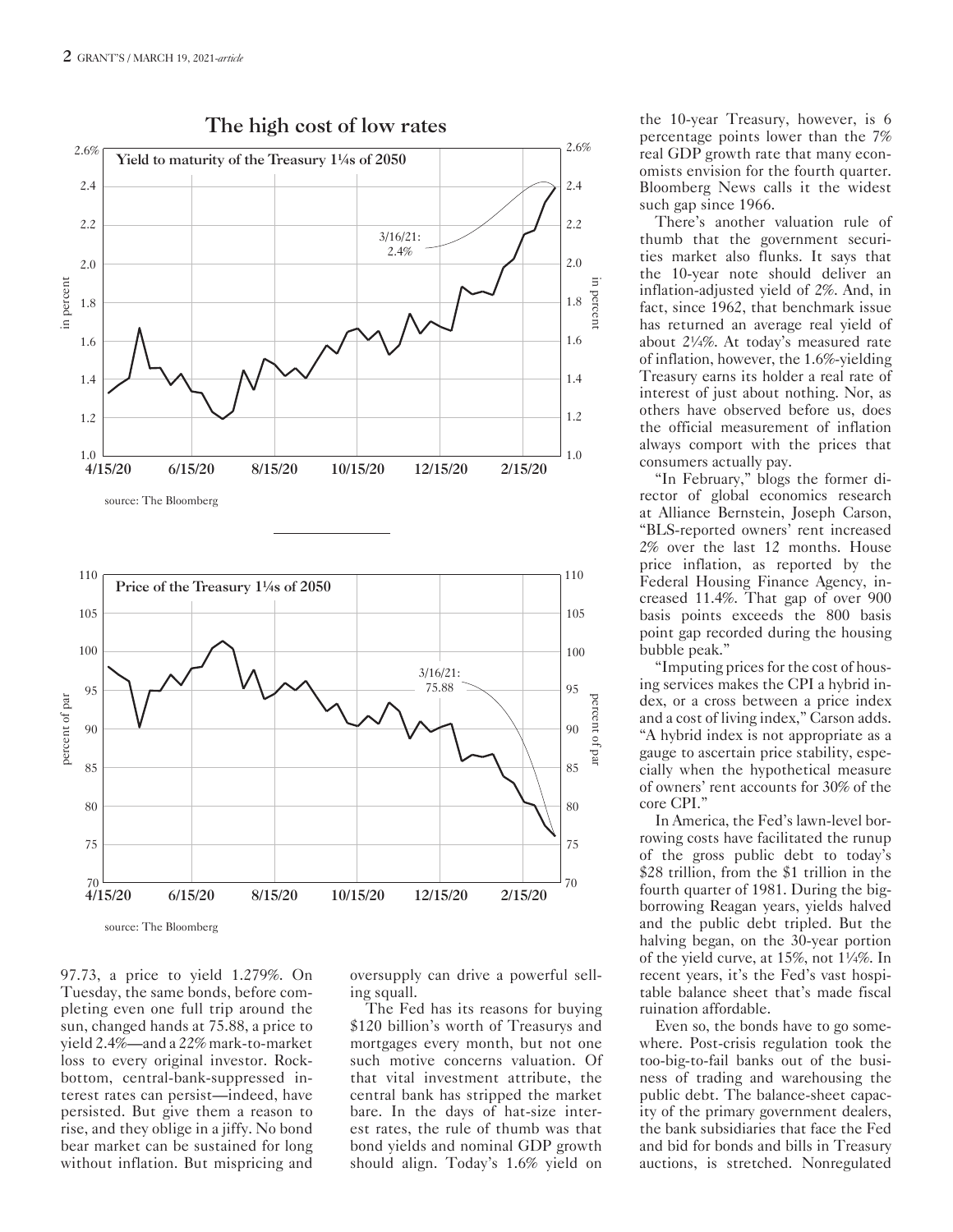

The high cost of low rates

97.73, a price to yield 1.279%. On Tuesday, the same bonds, before completing even one full trip around the sun, changed hands at 75.88, a price to yield 2.4%—and a 22% mark-to-market loss to every original investor. Rockbottom, central-bank-suppressed interest rates can persist—indeed, have persisted. But give them a reason to rise, and they oblige in a jiffy. No bond bear market can be sustained for long without inflation. But mispricing and

oversupply can drive a powerful selling squall.

The Fed has its reasons for buying \$120 billion's worth of Treasurys and mortgages every month, but not one such motive concerns valuation. Of that vital investment attribute, the central bank has stripped the market bare. In the days of hat-size interest rates, the rule of thumb was that bond yields and nominal GDP growth should align. Today's 1.6% yield on

the 10-year Treasury, however, is 6 percentage points lower than the 7% real GDP growth rate that many economists envision for the fourth quarter. Bloomberg News calls it the widest such gap since 1966.

There's another valuation rule of thumb that the government securities market also flunks. It says that the 10-year note should deliver an inflation-adjusted yield of 2%. And, in fact, since 1962, that benchmark issue has returned an average real yield of about 2¼%. At today's measured rate of inflation, however, the 1.6%-yielding Treasury earns its holder a real rate of interest of just about nothing. Nor, as others have observed before us, does the official measurement of inflation always comport with the prices that consumers actually pay.

"In February," blogs the former director of global economics research at Alliance Bernstein, Joseph Carson, "BLS-reported owners' rent increased 2% over the last 12 months. House price inflation, as reported by the Federal Housing Finance Agency, increased 11.4%. That gap of over 900 basis points exceeds the 800 basis point gap recorded during the housing bubble peak."

"Imputing prices for the cost of housing services makes the CPI a hybrid index, or a cross between a price index and a cost of living index," Carson adds. "A hybrid index is not appropriate as a gauge to ascertain price stability, especially when the hypothetical measure of owners' rent accounts for 30% of the core CPI."

In America, the Fed's lawn-level borrowing costs have facilitated the runup of the gross public debt to today's \$28 trillion, from the \$1 trillion in the fourth quarter of 1981. During the bigborrowing Reagan years, yields halved and the public debt tripled. But the halving began, on the 30-year portion of the yield curve, at 15%, not 1¼%. In recent years, it's the Fed's vast hospitable balance sheet that's made fiscal ruination affordable.

Even so, the bonds have to go somewhere. Post-crisis regulation took the too-big-to-fail banks out of the business of trading and warehousing the public debt. The balance-sheet capacity of the primary government dealers, the bank subsidiaries that face the Fed and bid for bonds and bills in Treasury auctions, is stretched. Nonregulated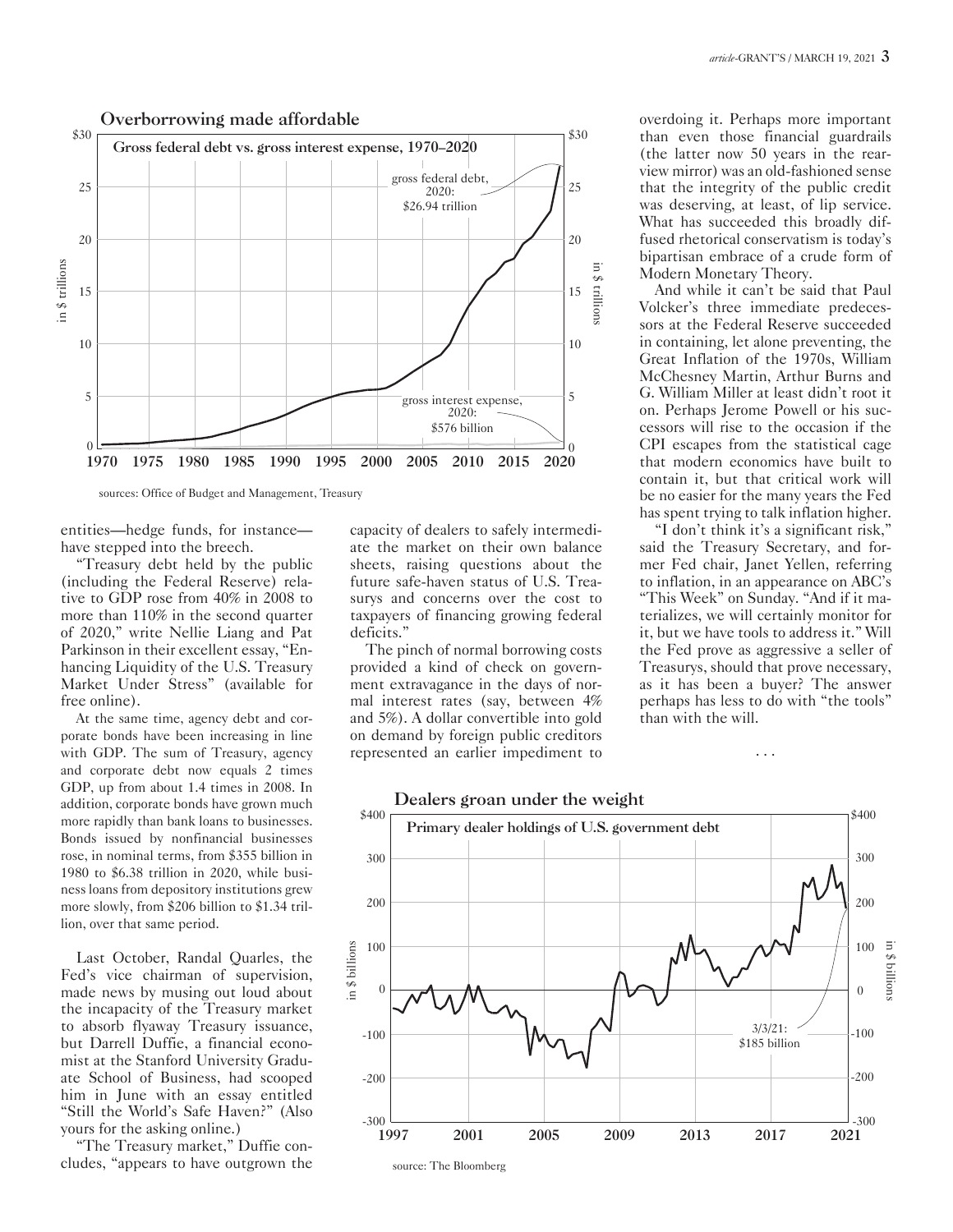

sources: Office of Budget and Management, Treasury

entities—hedge funds, for instance have stepped into the breech.

"Treasury debt held by the public (including the Federal Reserve) relative to GDP rose from 40% in 2008 to more than 110% in the second quarter of 2020," write Nellie Liang and Pat Parkinson in their excellent essay, "Enhancing Liquidity of the U.S. Treasury Market Under Stress" (available for free online).

At the same time, agency debt and corporate bonds have been increasing in line with GDP. The sum of Treasury, agency and corporate debt now equals 2 times GDP, up from about 1.4 times in 2008. In addition, corporate bonds have grown much more rapidly than bank loans to businesses. Bonds issued by nonfinancial businesses rose, in nominal terms, from \$355 billion in 1980 to \$6.38 trillion in 2020, while business loans from depository institutions grew more slowly, from \$206 billion to \$1.34 trillion, over that same period.

Last October, Randal Quarles, the Fed's vice chairman of supervision, made news by musing out loud about the incapacity of the Treasury market to absorb flyaway Treasury issuance, but Darrell Duffie, a financial economist at the Stanford University Graduate School of Business, had scooped him in June with an essay entitled "Still the World's Safe Haven?" (Also yours for the asking online.)

"The Treasury market," Duffie concludes, "appears to have outgrown the capacity of dealers to safely intermediate the market on their own balance sheets, raising questions about the future safe-haven status of U.S. Treasurys and concerns over the cost to taxpayers of financing growing federal deficits."

The pinch of normal borrowing costs provided a kind of check on government extravagance in the days of normal interest rates (say, between 4% and 5%). A dollar convertible into gold on demand by foreign public creditors represented an earlier impediment to overdoing it. Perhaps more important than even those financial guardrails (the latter now 50 years in the rearview mirror) was an old-fashioned sense that the integrity of the public credit was deserving, at least, of lip service. What has succeeded this broadly diffused rhetorical conservatism is today's bipartisan embrace of a crude form of Modern Monetary Theory.

And while it can't be said that Paul Volcker's three immediate predecessors at the Federal Reserve succeeded in containing, let alone preventing, the Great Inflation of the 1970s, William McChesney Martin, Arthur Burns and G. William Miller at least didn't root it on. Perhaps Jerome Powell or his successors will rise to the occasion if the CPI escapes from the statistical cage that modern economics have built to contain it, but that critical work will be no easier for the many years the Fed has spent trying to talk inflation higher.

"I don't think it's a significant risk," said the Treasury Secretary, and former Fed chair, Janet Yellen, referring to inflation, in an appearance on ABC's "This Week" on Sunday. "And if it materializes, we will certainly monitor for it, but we have tools to address it." Will the Fed prove as aggressive a seller of Treasurys, should that prove necessary, as it has been a buyer? The answer perhaps has less to do with "the tools" than with the will.

. . .

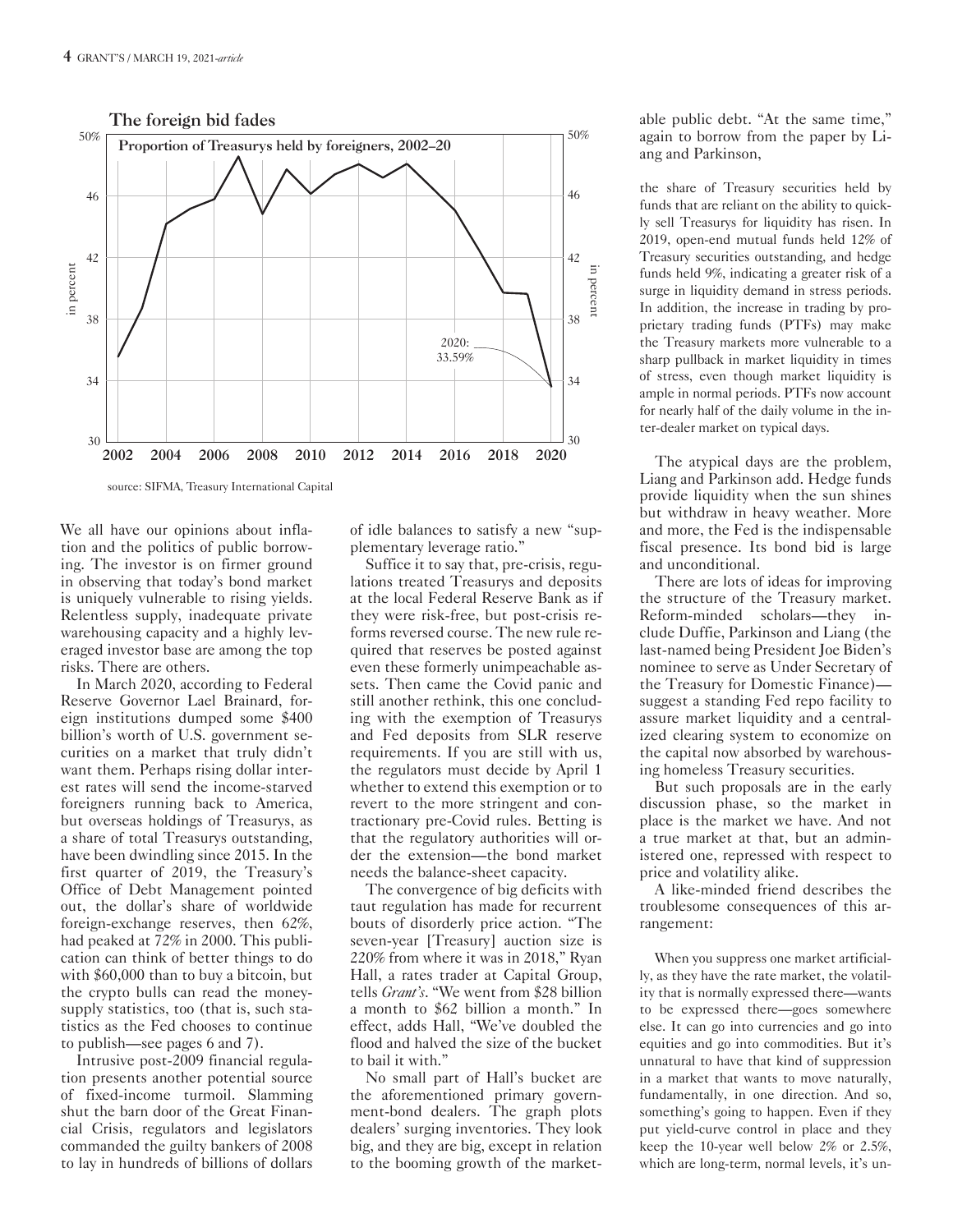

We all have our opinions about inflation and the politics of public borrowing. The investor is on firmer ground in observing that today's bond market is uniquely vulnerable to rising yields. Relentless supply, inadequate private warehousing capacity and a highly leveraged investor base are among the top risks. There are others.

In March 2020, according to Federal Reserve Governor Lael Brainard, foreign institutions dumped some \$400 billion's worth of U.S. government securities on a market that truly didn't want them. Perhaps rising dollar interest rates will send the income-starved foreigners running back to America, but overseas holdings of Treasurys, as a share of total Treasurys outstanding, have been dwindling since 2015. In the first quarter of 2019, the Treasury's Office of Debt Management pointed out, the dollar's share of worldwide foreign-exchange reserves, then 62%, had peaked at 72% in 2000. This publication can think of better things to do with \$60,000 than to buy a bitcoin, but the crypto bulls can read the moneysupply statistics, too (that is, such statistics as the Fed chooses to continue to publish—see pages 6 and 7).

Intrusive post-2009 financial regulation presents another potential source of fixed-income turmoil. Slamming shut the barn door of the Great Financial Crisis, regulators and legislators commanded the guilty bankers of 2008 to lay in hundreds of billions of dollars

of idle balances to satisfy a new "supplementary leverage ratio."

Suffice it to say that, pre-crisis, regulations treated Treasurys and deposits at the local Federal Reserve Bank as if they were risk-free, but post-crisis reforms reversed course. The new rule required that reserves be posted against even these formerly unimpeachable assets. Then came the Covid panic and still another rethink, this one concluding with the exemption of Treasurys and Fed deposits from SLR reserve requirements. If you are still with us, the regulators must decide by April 1 whether to extend this exemption or to revert to the more stringent and contractionary pre-Covid rules. Betting is that the regulatory authorities will order the extension—the bond market needs the balance-sheet capacity.

The convergence of big deficits with taut regulation has made for recurrent bouts of disorderly price action. "The seven-year [Treasury] auction size is 220% from where it was in 2018," Ryan Hall, a rates trader at Capital Group, tells *Grant's*. "We went from \$28 billion a month to \$62 billion a month." In effect, adds Hall, "We've doubled the flood and halved the size of the bucket to bail it with."

No small part of Hall's bucket are the aforementioned primary government-bond dealers. The graph plots dealers' surging inventories. They look big, and they are big, except in relation to the booming growth of the marketable public debt. "At the same time," again to borrow from the paper by Liang and Parkinson,

the share of Treasury securities held by funds that are reliant on the ability to quickly sell Treasurys for liquidity has risen. In 2019, open-end mutual funds held 12% of Treasury securities outstanding, and hedge funds held 9%, indicating a greater risk of a surge in liquidity demand in stress periods. In addition, the increase in trading by proprietary trading funds (PTFs) may make the Treasury markets more vulnerable to a sharp pullback in market liquidity in times of stress, even though market liquidity is ample in normal periods. PTFs now account for nearly half of the daily volume in the inter-dealer market on typical days.

The atypical days are the problem, Liang and Parkinson add. Hedge funds provide liquidity when the sun shines but withdraw in heavy weather. More and more, the Fed is the indispensable fiscal presence. Its bond bid is large and unconditional.

There are lots of ideas for improving the structure of the Treasury market. Reform-minded scholars—they include Duffie, Parkinson and Liang (the last-named being President Joe Biden's nominee to serve as Under Secretary of the Treasury for Domestic Finance) suggest a standing Fed repo facility to assure market liquidity and a centralized clearing system to economize on the capital now absorbed by warehousing homeless Treasury securities.

But such proposals are in the early discussion phase, so the market in place is the market we have. And not a true market at that, but an administered one, repressed with respect to price and volatility alike.

A like-minded friend describes the troublesome consequences of this arrangement:

When you suppress one market artificially, as they have the rate market, the volatility that is normally expressed there—wants to be expressed there—goes somewhere else. It can go into currencies and go into equities and go into commodities. But it's unnatural to have that kind of suppression in a market that wants to move naturally, fundamentally, in one direction. And so, something's going to happen. Even if they put yield-curve control in place and they keep the 10-year well below 2% or 2.5%, which are long-term, normal levels, it's un